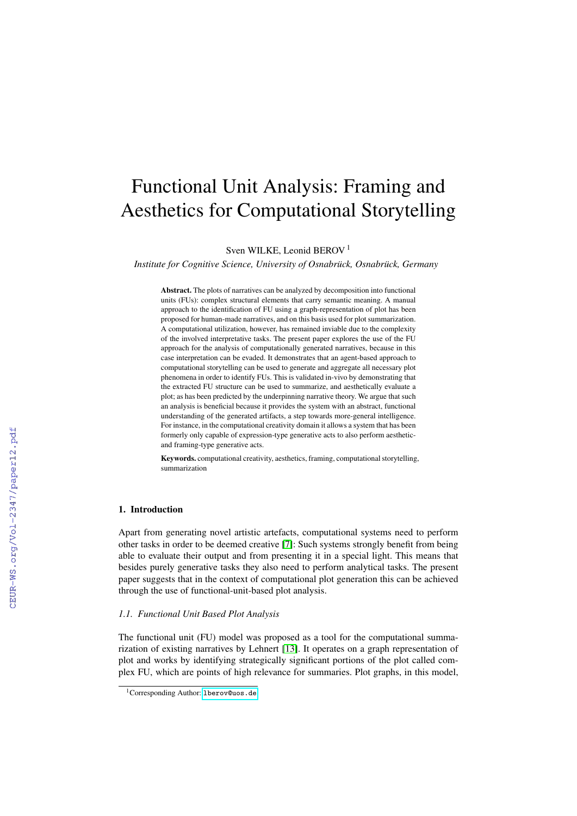# Functional Unit Analysis: Framing and Aesthetics for Computational Storytelling

Sven WILKE, Leonid BEROV<sup>1</sup>

*Institute for Cognitive Science, University of Osnabrück, Osnabrück, Germany*

Abstract. The plots of narratives can be analyzed by decomposition into functional units (FUs): complex structural elements that carry semantic meaning. A manual approach to the identification of FU using a graph-representation of plot has been proposed for human-made narratives, and on this basis used for plot summarization. A computational utilization, however, has remained inviable due to the complexity of the involved interpretative tasks. The present paper explores the use of the FU approach for the analysis of computationally generated narratives, because in this case interpretation can be evaded. It demonstrates that an agent-based approach to computational storytelling can be used to generate and aggregate all necessary plot phenomena in order to identify FUs. This is validated in-vivo by demonstrating that the extracted FU structure can be used to summarize, and aesthetically evaluate a plot; as has been predicted by the underpinning narrative theory. We argue that such an analysis is beneficial because it provides the system with an abstract, functional understanding of the generated artifacts, a step towards more-general intelligence. For instance, in the computational creativity domain it allows a system that has been formerly only capable of expression-type generative acts to also perform aestheticand framing-type generative acts.

Keywords. computational creativity, aesthetics, framing, computational storytelling, summarization

# 1. Introduction

Apart from generating novel artistic artefacts, computational systems need to perform other tasks in order to be deemed creative [\[7\]](#page--1-0): Such systems strongly benefit from being able to evaluate their output and from presenting it in a special light. This means that besides purely generative tasks they also need to perform analytical tasks. The present paper suggests that in the context of computational plot generation this can be achieved through the use of functional-unit-based plot analysis.

#### *1.1. Functional Unit Based Plot Analysis*

The functional unit (FU) model was proposed as a tool for the computational summarization of existing narratives by Lehnert [\[13\]](#page--1-1). It operates on a graph representation of plot and works by identifying strategically significant portions of the plot called complex FU, which are points of high relevance for summaries. Plot graphs, in this model,

<sup>&</sup>lt;sup>1</sup>Corresponding Author: 1berov@uos.de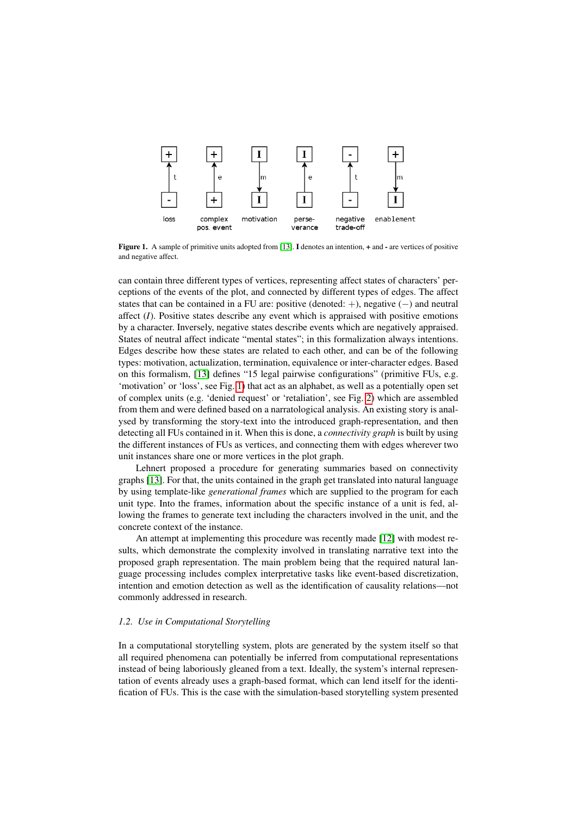

<span id="page-1-0"></span>Figure 1. A sample of primitive units adopted from [\[13\]](#page-8-0). I denotes an intention, + and - are vertices of positive and negative affect.

can contain three different types of vertices, representing affect states of characters' perceptions of the events of the plot, and connected by different types of edges. The affect states that can be contained in a FU are: positive (denoted: +), negative  $(-)$  and neutral affect (*I*). Positive states describe any event which is appraised with positive emotions by a character. Inversely, negative states describe events which are negatively appraised. States of neutral affect indicate "mental states"; in this formalization always intentions. Edges describe how these states are related to each other, and can be of the following types: motivation, actualization, termination, equivalence or inter-character edges. Based on this formalism, [\[13\]](#page-8-0) defines "15 legal pairwise configurations" (primitive FUs, e.g. 'motivation' or 'loss', see Fig. [1\)](#page-1-0) that act as an alphabet, as well as a potentially open set of complex units (e.g. 'denied request' or 'retaliation', see Fig. [2\)](#page-2-0) which are assembled from them and were defined based on a narratological analysis. An existing story is analysed by transforming the story-text into the introduced graph-representation, and then detecting all FUs contained in it. When this is done, a *connectivity graph* is built by using the different instances of FUs as vertices, and connecting them with edges wherever two unit instances share one or more vertices in the plot graph.

Lehnert proposed a procedure for generating summaries based on connectivity graphs [\[13\]](#page-8-0). For that, the units contained in the graph get translated into natural language by using template-like *generational frames* which are supplied to the program for each unit type. Into the frames, information about the specific instance of a unit is fed, allowing the frames to generate text including the characters involved in the unit, and the concrete context of the instance.

An attempt at implementing this procedure was recently made [\[12\]](#page-8-1) with modest results, which demonstrate the complexity involved in translating narrative text into the proposed graph representation. The main problem being that the required natural language processing includes complex interpretative tasks like event-based discretization, intention and emotion detection as well as the identification of causality relations—not commonly addressed in research.

#### *1.2. Use in Computational Storytelling*

In a computational storytelling system, plots are generated by the system itself so that all required phenomena can potentially be inferred from computational representations instead of being laboriously gleaned from a text. Ideally, the system's internal representation of events already uses a graph-based format, which can lend itself for the identification of FUs. This is the case with the simulation-based storytelling system presented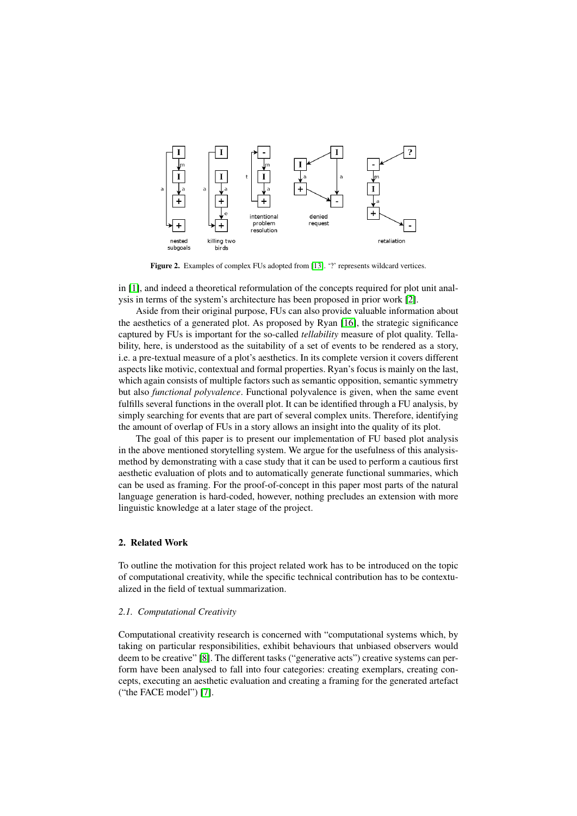

<span id="page-2-0"></span>Figure 2. Examples of complex FUs adopted from [\[13\]](#page-8-0). '?' represents wildcard vertices.

in [\[1\]](#page-8-2), and indeed a theoretical reformulation of the concepts required for plot unit analysis in terms of the system's architecture has been proposed in prior work [\[2\]](#page-8-3).

Aside from their original purpose, FUs can also provide valuable information about the aesthetics of a generated plot. As proposed by Ryan [\[16\]](#page-8-4), the strategic significance captured by FUs is important for the so-called *tellability* measure of plot quality. Tellability, here, is understood as the suitability of a set of events to be rendered as a story, i.e. a pre-textual measure of a plot's aesthetics. In its complete version it covers different aspects like motivic, contextual and formal properties. Ryan's focus is mainly on the last, which again consists of multiple factors such as semantic opposition, semantic symmetry but also *functional polyvalence*. Functional polyvalence is given, when the same event fulfills several functions in the overall plot. It can be identified through a FU analysis, by simply searching for events that are part of several complex units. Therefore, identifying the amount of overlap of FUs in a story allows an insight into the quality of its plot.

The goal of this paper is to present our implementation of FU based plot analysis in the above mentioned storytelling system. We argue for the usefulness of this analysismethod by demonstrating with a case study that it can be used to perform a cautious first aesthetic evaluation of plots and to automatically generate functional summaries, which can be used as framing. For the proof-of-concept in this paper most parts of the natural language generation is hard-coded, however, nothing precludes an extension with more linguistic knowledge at a later stage of the project.

## 2. Related Work

To outline the motivation for this project related work has to be introduced on the topic of computational creativity, while the specific technical contribution has to be contextualized in the field of textual summarization.

#### *2.1. Computational Creativity*

Computational creativity research is concerned with "computational systems which, by taking on particular responsibilities, exhibit behaviours that unbiased observers would deem to be creative" [\[8\]](#page-8-5). The different tasks ("generative acts") creative systems can perform have been analysed to fall into four categories: creating exemplars, creating concepts, executing an aesthetic evaluation and creating a framing for the generated artefact ("the FACE model") [\[7\]](#page-8-6).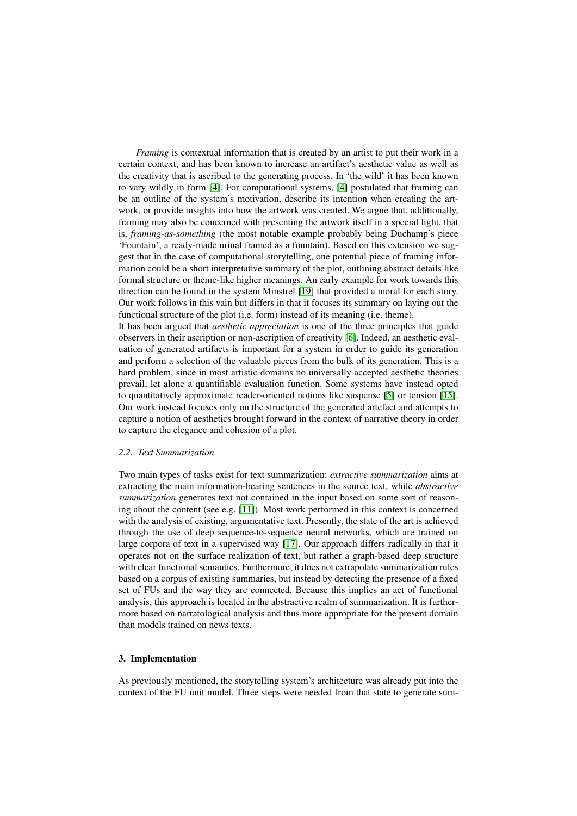*Framing* is contextual information that is created by an artist to put their work in a certain context, and has been known to increase an artifact's aesthetic value as well as the creativity that is ascribed to the generating process. In 'the wild' it has been known to vary wildly in form [\[4\]](#page-8-7). For computational systems, [\[4\]](#page-8-7) postulated that framing can be an outline of the system's motivation, describe its intention when creating the artwork, or provide insights into how the artwork was created. We argue that, additionally, framing may also be concerned with presenting the artwork itself in a special light, that is, *framing-as-something* (the most notable example probably being Duchamp's piece 'Fountain', a ready-made urinal framed as a fountain). Based on this extension we suggest that in the case of computational storytelling, one potential piece of framing information could be a short interpretative summary of the plot, outlining abstract details like formal structure or theme-like higher meanings. An early example for work towards this direction can be found in the system Minstrel [\[19\]](#page-8-8) that provided a moral for each story. Our work follows in this vain but differs in that it focuses its summary on laying out the functional structure of the plot (i.e. form) instead of its meaning (i.e. theme).

It has been argued that *aesthetic appreciation* is one of the three principles that guide observers in their ascription or non-ascription of creativity [\[6\]](#page-8-9). Indeed, an aesthetic evaluation of generated artifacts is important for a system in order to guide its generation and perform a selection of the valuable pieces from the bulk of its generation. This is a hard problem, since in most artistic domains no universally accepted aesthetic theories prevail, let alone a quantifiable evaluation function. Some systems have instead opted to quantitatively approximate reader-oriented notions like suspense [\[5\]](#page-8-10) or tension [\[15\]](#page-8-11). Our work instead focuses only on the structure of the generated artefact and attempts to capture a notion of aesthetics brought forward in the context of narrative theory in order to capture the elegance and cohesion of a plot.

# *2.2. Text Summarization*

Two main types of tasks exist for text summarization: *extractive summarization* aims at extracting the main information-bearing sentences in the source text, while *abstractive summarization* generates text not contained in the input based on some sort of reasoning about the content (see e.g. [\[11\]](#page-8-12)). Most work performed in this context is concerned with the analysis of existing, argumentative text. Presently, the state of the art is achieved through the use of deep sequence-to-sequence neural networks, which are trained on large corpora of text in a supervised way [\[17\]](#page-8-13). Our approach differs radically in that it operates not on the surface realization of text, but rather a graph-based deep structure with clear functional semantics. Furthermore, it does not extrapolate summarization rules based on a corpus of existing summaries, but instead by detecting the presence of a fixed set of FUs and the way they are connected. Because this implies an act of functional analysis, this approach is located in the abstractive realm of summarization. It is furthermore based on narratological analysis and thus more appropriate for the present domain than models trained on news texts.

#### 3. Implementation

As previously mentioned, the storytelling system's architecture was already put into the context of the FU unit model. Three steps were needed from that state to generate sum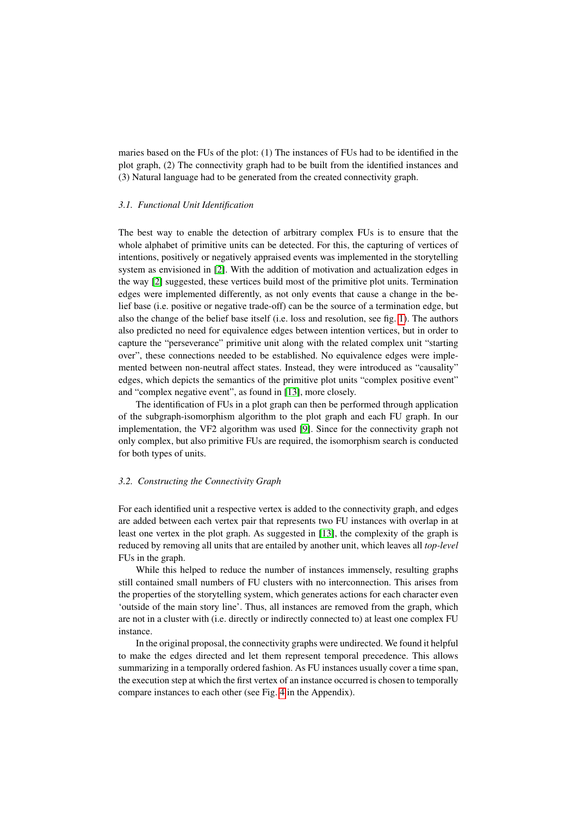maries based on the FUs of the plot: (1) The instances of FUs had to be identified in the plot graph, (2) The connectivity graph had to be built from the identified instances and (3) Natural language had to be generated from the created connectivity graph.

#### *3.1. Functional Unit Identification*

The best way to enable the detection of arbitrary complex FUs is to ensure that the whole alphabet of primitive units can be detected. For this, the capturing of vertices of intentions, positively or negatively appraised events was implemented in the storytelling system as envisioned in [\[2\]](#page-8-3). With the addition of motivation and actualization edges in the way [\[2\]](#page-8-3) suggested, these vertices build most of the primitive plot units. Termination edges were implemented differently, as not only events that cause a change in the belief base (i.e. positive or negative trade-off) can be the source of a termination edge, but also the change of the belief base itself (i.e. loss and resolution, see fig. [1\)](#page-1-0). The authors also predicted no need for equivalence edges between intention vertices, but in order to capture the "perseverance" primitive unit along with the related complex unit "starting over", these connections needed to be established. No equivalence edges were implemented between non-neutral affect states. Instead, they were introduced as "causality" edges, which depicts the semantics of the primitive plot units "complex positive event" and "complex negative event", as found in [\[13\]](#page-8-0), more closely.

The identification of FUs in a plot graph can then be performed through application of the subgraph-isomorphism algorithm to the plot graph and each FU graph. In our implementation, the VF2 algorithm was used [\[9\]](#page-8-14). Since for the connectivity graph not only complex, but also primitive FUs are required, the isomorphism search is conducted for both types of units.

#### *3.2. Constructing the Connectivity Graph*

For each identified unit a respective vertex is added to the connectivity graph, and edges are added between each vertex pair that represents two FU instances with overlap in at least one vertex in the plot graph. As suggested in [\[13\]](#page-8-0), the complexity of the graph is reduced by removing all units that are entailed by another unit, which leaves all *top-level* FUs in the graph.

While this helped to reduce the number of instances immensely, resulting graphs still contained small numbers of FU clusters with no interconnection. This arises from the properties of the storytelling system, which generates actions for each character even 'outside of the main story line'. Thus, all instances are removed from the graph, which are not in a cluster with (i.e. directly or indirectly connected to) at least one complex FU instance.

In the original proposal, the connectivity graphs were undirected. We found it helpful to make the edges directed and let them represent temporal precedence. This allows summarizing in a temporally ordered fashion. As FU instances usually cover a time span, the execution step at which the first vertex of an instance occurred is chosen to temporally compare instances to each other (see Fig. [4](#page-9-0) in the Appendix).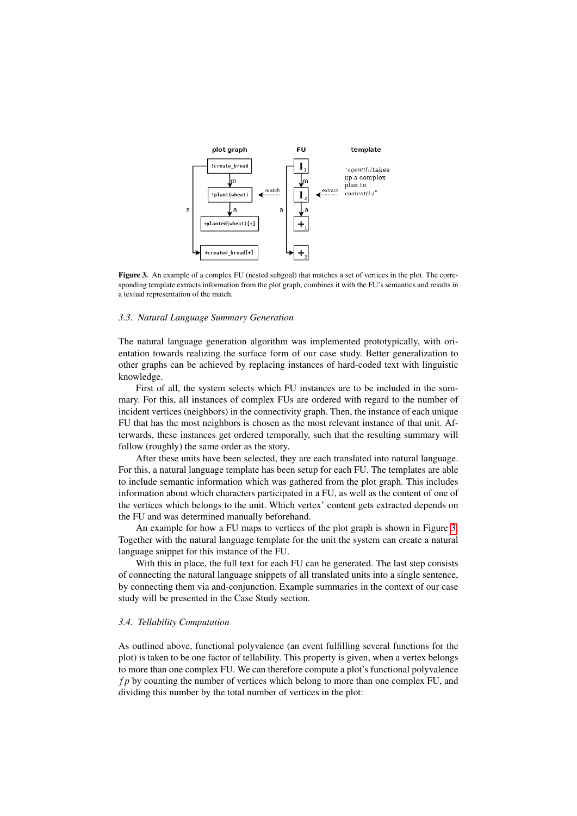

<span id="page-5-0"></span>Figure 3. An example of a complex FU (nested subgoal) that matches a set of vertices in the plot. The corresponding template extracts information from the plot graph, combines it with the FU's semantics and results in a textual representation of the match.

#### *3.3. Natural Language Summary Generation*

The natural language generation algorithm was implemented prototypically, with orientation towards realizing the surface form of our case study. Better generalization to other graphs can be achieved by replacing instances of hard-coded text with linguistic knowledge.

First of all, the system selects which FU instances are to be included in the summary. For this, all instances of complex FUs are ordered with regard to the number of incident vertices (neighbors) in the connectivity graph. Then, the instance of each unique FU that has the most neighbors is chosen as the most relevant instance of that unit. Afterwards, these instances get ordered temporally, such that the resulting summary will follow (roughly) the same order as the story.

After these units have been selected, they are each translated into natural language. For this, a natural language template has been setup for each FU. The templates are able to include semantic information which was gathered from the plot graph. This includes information about which characters participated in a FU, as well as the content of one of the vertices which belongs to the unit. Which vertex' content gets extracted depends on the FU and was determined manually beforehand.

An example for how a FU maps to vertices of the plot graph is shown in Figure [3.](#page-5-0) Together with the natural language template for the unit the system can create a natural language snippet for this instance of the FU.

With this in place, the full text for each FU can be generated. The last step consists of connecting the natural language snippets of all translated units into a single sentence, by connecting them via and-conjunction. Example summaries in the context of our case study will be presented in the Case Study section.

#### *3.4. Tellability Computation*

As outlined above, functional polyvalence (an event fulfilling several functions for the plot) is taken to be one factor of tellability. This property is given, when a vertex belongs to more than one complex FU. We can therefore compute a plot's functional polyvalence *f p* by counting the number of vertices which belong to more than one complex FU, and dividing this number by the total number of vertices in the plot: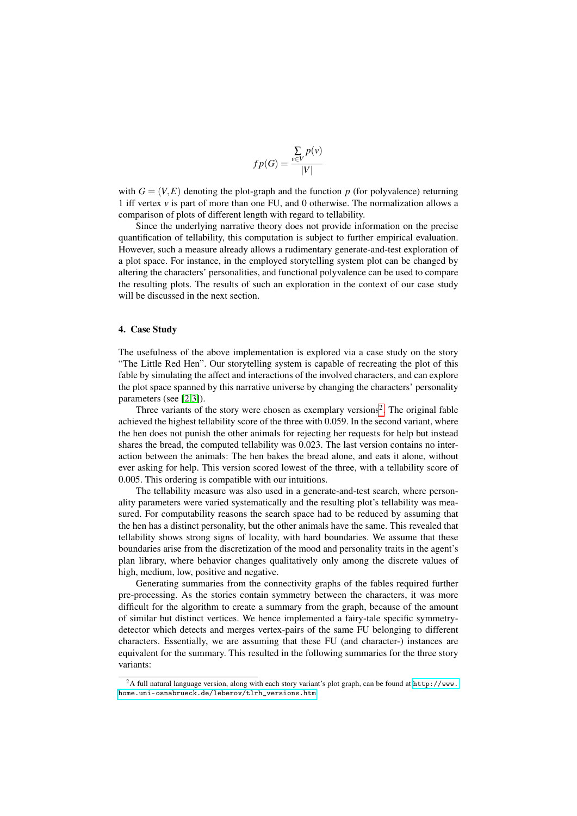$$
fp(G) = \frac{\sum_{v \in V} p(v)}{|V|}
$$

with  $G = (V, E)$  denoting the plot-graph and the function p (for polyvalence) returning 1 iff vertex *v* is part of more than one FU, and 0 otherwise. The normalization allows a comparison of plots of different length with regard to tellability.

Since the underlying narrative theory does not provide information on the precise quantification of tellability, this computation is subject to further empirical evaluation. However, such a measure already allows a rudimentary generate-and-test exploration of a plot space. For instance, in the employed storytelling system plot can be changed by altering the characters' personalities, and functional polyvalence can be used to compare the resulting plots. The results of such an exploration in the context of our case study will be discussed in the next section.

#### 4. Case Study

The usefulness of the above implementation is explored via a case study on the story "The Little Red Hen". Our storytelling system is capable of recreating the plot of this fable by simulating the affect and interactions of the involved characters, and can explore the plot space spanned by this narrative universe by changing the characters' personality parameters (see [\[2](#page-8-3)[,3\]](#page-8-15)).

Three variants of the story were chosen as exemplary versions<sup>[2](#page-6-0)</sup>. The original fable achieved the highest tellability score of the three with 0.059. In the second variant, where the hen does not punish the other animals for rejecting her requests for help but instead shares the bread, the computed tellability was 0.023. The last version contains no interaction between the animals: The hen bakes the bread alone, and eats it alone, without ever asking for help. This version scored lowest of the three, with a tellability score of 0.005. This ordering is compatible with our intuitions.

The tellability measure was also used in a generate-and-test search, where personality parameters were varied systematically and the resulting plot's tellability was measured. For computability reasons the search space had to be reduced by assuming that the hen has a distinct personality, but the other animals have the same. This revealed that tellability shows strong signs of locality, with hard boundaries. We assume that these boundaries arise from the discretization of the mood and personality traits in the agent's plan library, where behavior changes qualitatively only among the discrete values of high, medium, low, positive and negative.

Generating summaries from the connectivity graphs of the fables required further pre-processing. As the stories contain symmetry between the characters, it was more difficult for the algorithm to create a summary from the graph, because of the amount of similar but distinct vertices. We hence implemented a fairy-tale specific symmetrydetector which detects and merges vertex-pairs of the same FU belonging to different characters. Essentially, we are assuming that these FU (and character-) instances are equivalent for the summary. This resulted in the following summaries for the three story variants:

<span id="page-6-0"></span><sup>&</sup>lt;sup>2</sup>A full natural language version, along with each story variant's plot graph, can be found at [http://www.](http://www.home.uni-osnabrueck.de/leberov/tlrh_versions.htm) [home.uni-osnabrueck.de/leberov/tlrh\\_versions.htm](http://www.home.uni-osnabrueck.de/leberov/tlrh_versions.htm)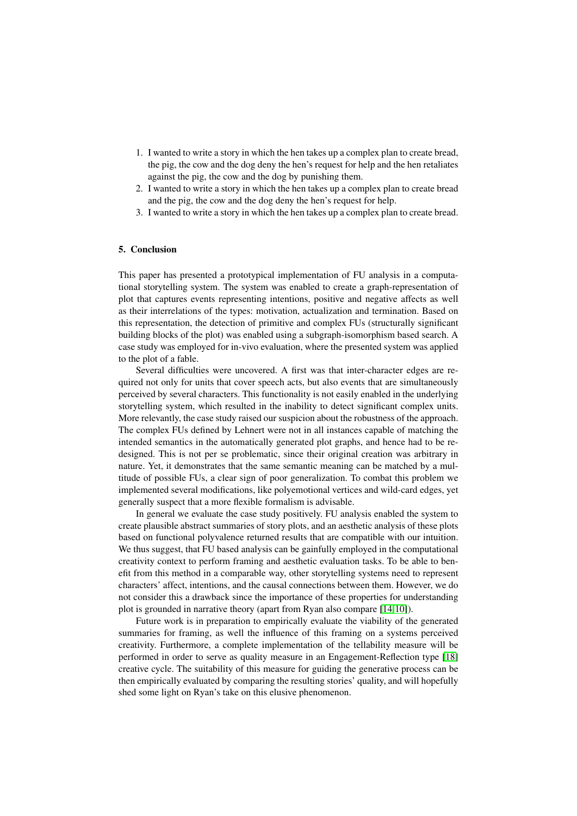- 1. I wanted to write a story in which the hen takes up a complex plan to create bread, the pig, the cow and the dog deny the hen's request for help and the hen retaliates against the pig, the cow and the dog by punishing them.
- 2. I wanted to write a story in which the hen takes up a complex plan to create bread and the pig, the cow and the dog deny the hen's request for help.
- 3. I wanted to write a story in which the hen takes up a complex plan to create bread.

# 5. Conclusion

This paper has presented a prototypical implementation of FU analysis in a computational storytelling system. The system was enabled to create a graph-representation of plot that captures events representing intentions, positive and negative affects as well as their interrelations of the types: motivation, actualization and termination. Based on this representation, the detection of primitive and complex FUs (structurally significant building blocks of the plot) was enabled using a subgraph-isomorphism based search. A case study was employed for in-vivo evaluation, where the presented system was applied to the plot of a fable.

Several difficulties were uncovered. A first was that inter-character edges are required not only for units that cover speech acts, but also events that are simultaneously perceived by several characters. This functionality is not easily enabled in the underlying storytelling system, which resulted in the inability to detect significant complex units. More relevantly, the case study raised our suspicion about the robustness of the approach. The complex FUs defined by Lehnert were not in all instances capable of matching the intended semantics in the automatically generated plot graphs, and hence had to be redesigned. This is not per se problematic, since their original creation was arbitrary in nature. Yet, it demonstrates that the same semantic meaning can be matched by a multitude of possible FUs, a clear sign of poor generalization. To combat this problem we implemented several modifications, like polyemotional vertices and wild-card edges, yet generally suspect that a more flexible formalism is advisable.

In general we evaluate the case study positively. FU analysis enabled the system to create plausible abstract summaries of story plots, and an aesthetic analysis of these plots based on functional polyvalence returned results that are compatible with our intuition. We thus suggest, that FU based analysis can be gainfully employed in the computational creativity context to perform framing and aesthetic evaluation tasks. To be able to benefit from this method in a comparable way, other storytelling systems need to represent characters' affect, intentions, and the causal connections between them. However, we do not consider this a drawback since the importance of these properties for understanding plot is grounded in narrative theory (apart from Ryan also compare [\[14,](#page-8-16)[10\]](#page-8-17)).

Future work is in preparation to empirically evaluate the viability of the generated summaries for framing, as well the influence of this framing on a systems perceived creativity. Furthermore, a complete implementation of the tellability measure will be performed in order to serve as quality measure in an Engagement-Reflection type [\[18\]](#page-8-18) creative cycle. The suitability of this measure for guiding the generative process can be then empirically evaluated by comparing the resulting stories' quality, and will hopefully shed some light on Ryan's take on this elusive phenomenon.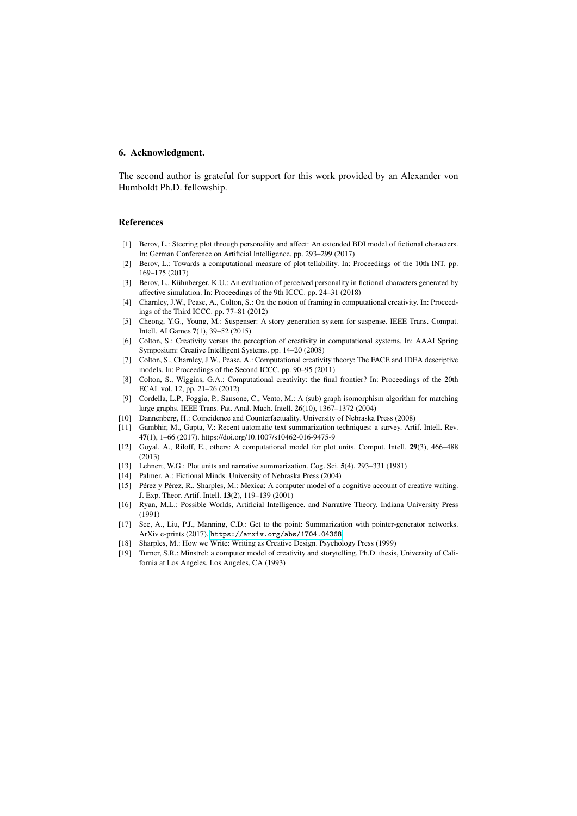## 6. Acknowledgment.

The second author is grateful for support for this work provided by an Alexander von Humboldt Ph.D. fellowship.

## References

- <span id="page-8-2"></span>[1] Berov, L.: Steering plot through personality and affect: An extended BDI model of fictional characters. In: German Conference on Artificial Intelligence. pp. 293–299 (2017)
- <span id="page-8-3"></span>[2] Berov, L.: Towards a computational measure of plot tellability. In: Proceedings of the 10th INT. pp. 169–175 (2017)
- <span id="page-8-15"></span>[3] Berov, L., Kühnberger, K.U.: An evaluation of perceived personality in fictional characters generated by affective simulation. In: Proceedings of the 9th ICCC. pp. 24–31 (2018)
- <span id="page-8-7"></span>[4] Charnley, J.W., Pease, A., Colton, S.: On the notion of framing in computational creativity. In: Proceedings of the Third ICCC. pp. 77–81 (2012)
- <span id="page-8-10"></span>[5] Cheong, Y.G., Young, M.: Suspenser: A story generation system for suspense. IEEE Trans. Comput. Intell. AI Games 7(1), 39–52 (2015)
- <span id="page-8-9"></span>[6] Colton, S.: Creativity versus the perception of creativity in computational systems. In: AAAI Spring Symposium: Creative Intelligent Systems. pp. 14–20 (2008)
- <span id="page-8-6"></span>[7] Colton, S., Charnley, J.W., Pease, A.: Computational creativity theory: The FACE and IDEA descriptive models. In: Proceedings of the Second ICCC. pp. 90–95 (2011)
- <span id="page-8-5"></span>[8] Colton, S., Wiggins, G.A.: Computational creativity: the final frontier? In: Proceedings of the 20th ECAI. vol. 12, pp. 21–26 (2012)
- <span id="page-8-14"></span>[9] Cordella, L.P., Foggia, P., Sansone, C., Vento, M.: A (sub) graph isomorphism algorithm for matching large graphs. IEEE Trans. Pat. Anal. Mach. Intell. 26(10), 1367–1372 (2004)
- <span id="page-8-17"></span>[10] Dannenberg, H.: Coincidence and Counterfactuality. University of Nebraska Press (2008)
- <span id="page-8-12"></span>[11] Gambhir, M., Gupta, V.: Recent automatic text summarization techniques: a survey. Artif. Intell. Rev. 47(1), 1–66 (2017). https://doi.org/10.1007/s10462-016-9475-9
- <span id="page-8-1"></span>[12] Goyal, A., Riloff, E., others: A computational model for plot units. Comput. Intell. 29(3), 466–488 (2013)
- <span id="page-8-0"></span>[13] Lehnert, W.G.: Plot units and narrative summarization. Cog. Sci. 5(4), 293–331 (1981)
- <span id="page-8-16"></span>[14] Palmer, A.: Fictional Minds. University of Nebraska Press (2004)
- <span id="page-8-11"></span>[15] Pérez y Pérez, R., Sharples, M.: Mexica: A computer model of a cognitive account of creative writing. J. Exp. Theor. Artif. Intell. 13(2), 119–139 (2001)
- <span id="page-8-4"></span>[16] Ryan, M.L.: Possible Worlds, Artificial Intelligence, and Narrative Theory. Indiana University Press (1991)
- <span id="page-8-13"></span>[17] See, A., Liu, P.J., Manning, C.D.: Get to the point: Summarization with pointer-generator networks. ArXiv e-prints (2017), <https://arxiv.org/abs/1704.04368>
- <span id="page-8-18"></span>[18] Sharples, M.: How we Write: Writing as Creative Design. Psychology Press (1999)
- <span id="page-8-8"></span>[19] Turner, S.R.: Minstrel: a computer model of creativity and storytelling. Ph.D. thesis, University of California at Los Angeles, Los Angeles, CA (1993)